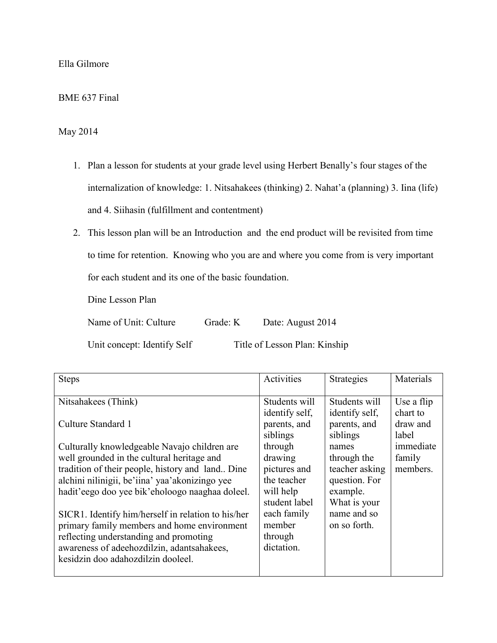Ella Gilmore

BME 637 Final

May 2014

- 1. Plan a lesson for students at your grade level using Herbert Benally's four stages of the internalization of knowledge: 1. Nitsahakees (thinking) 2. Nahat'a (planning) 3. Iina (life) and 4. Siihasin (fulfillment and contentment)
- 2. This lesson plan will be an Introduction and the end product will be revisited from time to time for retention. Knowing who you are and where you come from is very important for each student and its one of the basic foundation.

Dine Lesson Plan

Name of Unit: Culture Grade: K Date: August 2014

Unit concept: Identify Self Title of Lesson Plan: Kinship

| <b>Steps</b>                                                                                                                                                                                                                                                                                                                                                                                                                                                                                                                        | Activities                                                                                                                                                                                       | <b>Strategies</b>                                                                                                                                                                 | Materials                                                                      |
|-------------------------------------------------------------------------------------------------------------------------------------------------------------------------------------------------------------------------------------------------------------------------------------------------------------------------------------------------------------------------------------------------------------------------------------------------------------------------------------------------------------------------------------|--------------------------------------------------------------------------------------------------------------------------------------------------------------------------------------------------|-----------------------------------------------------------------------------------------------------------------------------------------------------------------------------------|--------------------------------------------------------------------------------|
| Nitsahakees (Think)<br>Culture Standard 1<br>Culturally knowledgeable Navajo children are<br>well grounded in the cultural heritage and<br>tradition of their people, history and land Dine<br>alchini nilinigii, be'iina' yaa'akonizingo yee<br>hadit'eego doo yee bik'eholoogo naaghaa doleel.<br>SICR1. Identify him/herself in relation to his/her<br>primary family members and home environment<br>reflecting understanding and promoting<br>awareness of adeehozdilzin, adantsahakees,<br>kesidzin doo adahozdilzin dooleel. | Students will<br>identify self,<br>parents, and<br>siblings<br>through<br>drawing<br>pictures and<br>the teacher<br>will help<br>student label<br>each family<br>member<br>through<br>dictation. | Students will<br>identify self,<br>parents, and<br>siblings<br>names<br>through the<br>teacher asking<br>question. For<br>example.<br>What is your<br>name and so<br>on so forth. | Use a flip<br>chart to<br>draw and<br>label<br>immediate<br>family<br>members. |
|                                                                                                                                                                                                                                                                                                                                                                                                                                                                                                                                     |                                                                                                                                                                                                  |                                                                                                                                                                                   |                                                                                |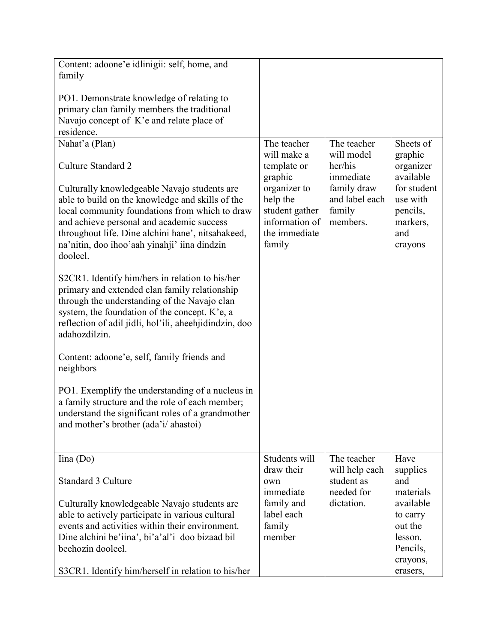| Content: adoone'e idlinigii: self, home, and                                                                                                                                                                                                                                                                     |                                                                                         |                                                     |                                                                   |
|------------------------------------------------------------------------------------------------------------------------------------------------------------------------------------------------------------------------------------------------------------------------------------------------------------------|-----------------------------------------------------------------------------------------|-----------------------------------------------------|-------------------------------------------------------------------|
| family                                                                                                                                                                                                                                                                                                           |                                                                                         |                                                     |                                                                   |
| PO1. Demonstrate knowledge of relating to                                                                                                                                                                                                                                                                        |                                                                                         |                                                     |                                                                   |
| primary clan family members the traditional                                                                                                                                                                                                                                                                      |                                                                                         |                                                     |                                                                   |
| Navajo concept of K'e and relate place of                                                                                                                                                                                                                                                                        |                                                                                         |                                                     |                                                                   |
| residence.                                                                                                                                                                                                                                                                                                       |                                                                                         |                                                     |                                                                   |
| Nahat'a (Plan)                                                                                                                                                                                                                                                                                                   | The teacher                                                                             | The teacher                                         | Sheets of                                                         |
| Culture Standard 2                                                                                                                                                                                                                                                                                               | will make a<br>template or<br>graphic                                                   | will model<br>her/his<br>immediate                  | graphic<br>organizer<br>available                                 |
| Culturally knowledgeable Navajo students are<br>able to build on the knowledge and skills of the<br>local community foundations from which to draw<br>and achieve personal and academic success<br>throughout life. Dine alchini hane', nitsahakeed,<br>na'nitin, doo ihoo'aah yinahji' iina dindzin<br>dooleel. | organizer to<br>help the<br>student gather<br>information of<br>the immediate<br>family | family draw<br>and label each<br>family<br>members. | for student<br>use with<br>pencils,<br>markers,<br>and<br>crayons |
| S2CR1. Identify him/hers in relation to his/her<br>primary and extended clan family relationship<br>through the understanding of the Navajo clan<br>system, the foundation of the concept. K'e, a<br>reflection of adil jidli, hol'ili, aheehjidindzin, doo<br>adahozdilzin.                                     |                                                                                         |                                                     |                                                                   |
| Content: adoone'e, self, family friends and<br>neighbors                                                                                                                                                                                                                                                         |                                                                                         |                                                     |                                                                   |
| PO1. Exemplify the understanding of a nucleus in<br>a family structure and the role of each member;<br>understand the significant roles of a grandmother<br>and mother's brother (ada'i/ahastoi)                                                                                                                 |                                                                                         |                                                     |                                                                   |
| lina (Do)                                                                                                                                                                                                                                                                                                        | Students will                                                                           | The teacher                                         | Have                                                              |
| <b>Standard 3 Culture</b>                                                                                                                                                                                                                                                                                        | draw their<br>own<br>immediate                                                          | will help each<br>student as<br>needed for          | supplies<br>and<br>materials                                      |
| Culturally knowledgeable Navajo students are                                                                                                                                                                                                                                                                     | family and                                                                              | dictation.                                          | available                                                         |
| able to actively participate in various cultural                                                                                                                                                                                                                                                                 | label each                                                                              |                                                     | to carry                                                          |
| events and activities within their environment.                                                                                                                                                                                                                                                                  | family                                                                                  |                                                     | out the                                                           |
| Dine alchini be'iina', bi'a'al'i doo bizaad bil                                                                                                                                                                                                                                                                  | member                                                                                  |                                                     | lesson.                                                           |
| beehozin dooleel.                                                                                                                                                                                                                                                                                                |                                                                                         |                                                     | Pencils,                                                          |
| S3CR1. Identify him/herself in relation to his/her                                                                                                                                                                                                                                                               |                                                                                         |                                                     | crayons,<br>erasers,                                              |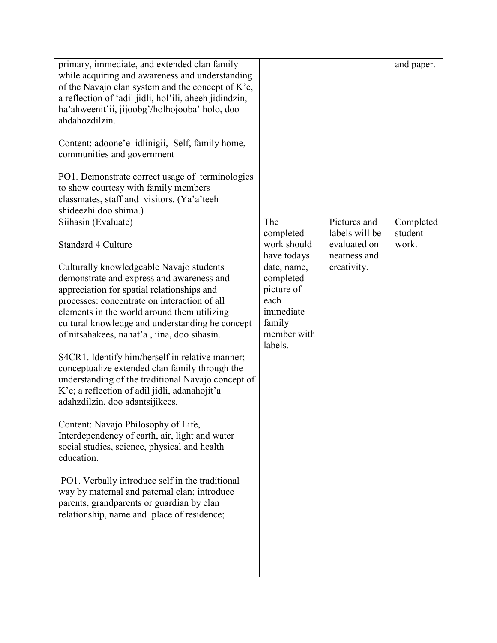| primary, immediate, and extended clan family<br>while acquiring and awareness and understanding<br>of the Navajo clan system and the concept of K'e,<br>a reflection of 'adil jidli, hol'ili, aheeh jidindzin,<br>ha'ahweenit'ii, jijoobg'/holhojooba' holo, doo<br>ahdahozdilzin.<br>Content: adoone'e idlinigii, Self, family home,<br>communities and government<br>PO1. Demonstrate correct usage of terminologies<br>to show courtesy with family members<br>classmates, staff and visitors. (Ya'a'teeh<br>shideezhi doo shima.)                                                                                                                                                                                                                                                                                                                                                                                                                                                 |                                                                                                                                                   |                                                                               | and paper.                    |
|---------------------------------------------------------------------------------------------------------------------------------------------------------------------------------------------------------------------------------------------------------------------------------------------------------------------------------------------------------------------------------------------------------------------------------------------------------------------------------------------------------------------------------------------------------------------------------------------------------------------------------------------------------------------------------------------------------------------------------------------------------------------------------------------------------------------------------------------------------------------------------------------------------------------------------------------------------------------------------------|---------------------------------------------------------------------------------------------------------------------------------------------------|-------------------------------------------------------------------------------|-------------------------------|
| Siihasin (Evaluate)<br>Standard 4 Culture<br>Culturally knowledgeable Navajo students<br>demonstrate and express and awareness and<br>appreciation for spatial relationships and<br>processes: concentrate on interaction of all<br>elements in the world around them utilizing<br>cultural knowledge and understanding he concept<br>of nitsahakees, nahat'a, iina, doo sihasin.<br>S4CR1. Identify him/herself in relative manner;<br>conceptualize extended clan family through the<br>understanding of the traditional Navajo concept of<br>K'e; a reflection of adil jidli, adanahojit'a<br>adahzdilzin, doo adantsijikees.<br>Content: Navajo Philosophy of Life,<br>Interdependency of earth, air, light and water<br>social studies, science, physical and health<br>education.<br>PO1. Verbally introduce self in the traditional<br>way by maternal and paternal clan; introduce<br>parents, grandparents or guardian by clan<br>relationship, name and place of residence; | The<br>completed<br>work should<br>have todays<br>date, name,<br>completed<br>picture of<br>each<br>immediate<br>family<br>member with<br>labels. | Pictures and<br>labels will be<br>evaluated on<br>neatness and<br>creativity. | Completed<br>student<br>work. |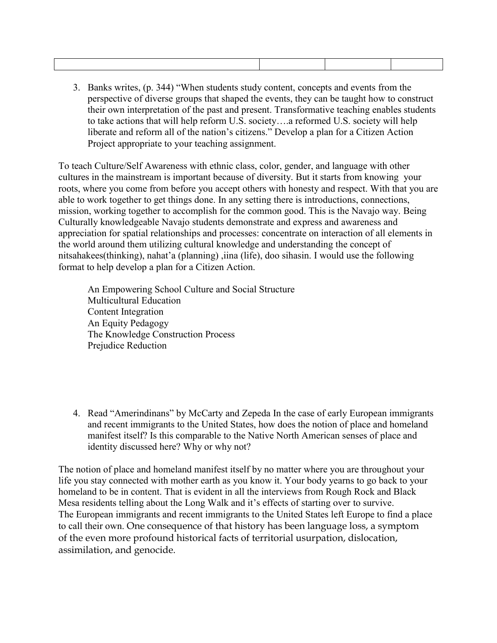3. Banks writes, (p. 344) "When students study content, concepts and events from the perspective of diverse groups that shaped the events, they can be taught how to construct their own interpretation of the past and present. Transformative teaching enables students to take actions that will help reform U.S. society….a reformed U.S. society will help liberate and reform all of the nation's citizens." Develop a plan for a Citizen Action Project appropriate to your teaching assignment.

To teach Culture/Self Awareness with ethnic class, color, gender, and language with other cultures in the mainstream is important because of diversity. But it starts from knowing your roots, where you come from before you accept others with honesty and respect. With that you are able to work together to get things done. In any setting there is introductions, connections, mission, working together to accomplish for the common good. This is the Navajo way. Being Culturally knowledgeable Navajo students demonstrate and express and awareness and appreciation for spatial relationships and processes: concentrate on interaction of all elements in the world around them utilizing cultural knowledge and understanding the concept of nitsahakees(thinking), nahat'a (planning) ,iina (life), doo sihasin. I would use the following format to help develop a plan for a Citizen Action.

An Empowering School Culture and Social Structure Multicultural Education Content Integration An Equity Pedagogy The Knowledge Construction Process Prejudice Reduction

4. Read "Amerindinans" by McCarty and Zepeda In the case of early European immigrants and recent immigrants to the United States, how does the notion of place and homeland manifest itself? Is this comparable to the Native North American senses of place and identity discussed here? Why or why not?

The notion of place and homeland manifest itself by no matter where you are throughout your life you stay connected with mother earth as you know it. Your body yearns to go back to your homeland to be in content. That is evident in all the interviews from Rough Rock and Black Mesa residents telling about the Long Walk and it's effects of starting over to survive. The European immigrants and recent immigrants to the United States left Europe to find a place to call their own. One consequence of that history has been language loss, a symptom of the even more profound historical facts of territorial usurpation, dislocation, assimilation, and genocide.